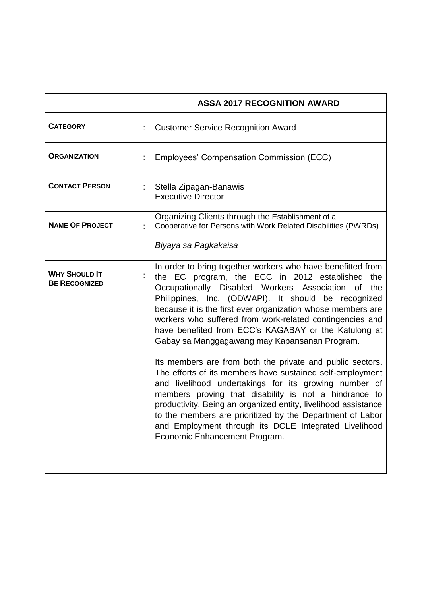|                                              |   | <b>ASSA 2017 RECOGNITION AWARD</b>                                                                                                                                                                                                                                                                                                                                                                                                                                                                                                                                                                                                                                                                                                                                                                                                                                                                                                         |
|----------------------------------------------|---|--------------------------------------------------------------------------------------------------------------------------------------------------------------------------------------------------------------------------------------------------------------------------------------------------------------------------------------------------------------------------------------------------------------------------------------------------------------------------------------------------------------------------------------------------------------------------------------------------------------------------------------------------------------------------------------------------------------------------------------------------------------------------------------------------------------------------------------------------------------------------------------------------------------------------------------------|
| <b>CATEGORY</b>                              |   | <b>Customer Service Recognition Award</b>                                                                                                                                                                                                                                                                                                                                                                                                                                                                                                                                                                                                                                                                                                                                                                                                                                                                                                  |
| <b>ORGANIZATION</b>                          | t | Employees' Compensation Commission (ECC)                                                                                                                                                                                                                                                                                                                                                                                                                                                                                                                                                                                                                                                                                                                                                                                                                                                                                                   |
| <b>CONTACT PERSON</b>                        | t | Stella Zipagan-Banawis<br><b>Executive Director</b>                                                                                                                                                                                                                                                                                                                                                                                                                                                                                                                                                                                                                                                                                                                                                                                                                                                                                        |
| <b>NAME OF PROJECT</b>                       |   | Organizing Clients through the Establishment of a<br>Cooperative for Persons with Work Related Disabilities (PWRDs)                                                                                                                                                                                                                                                                                                                                                                                                                                                                                                                                                                                                                                                                                                                                                                                                                        |
|                                              |   | Biyaya sa Pagkakaisa                                                                                                                                                                                                                                                                                                                                                                                                                                                                                                                                                                                                                                                                                                                                                                                                                                                                                                                       |
| <b>WHY SHOULD IT</b><br><b>BE RECOGNIZED</b> |   | In order to bring together workers who have benefitted from<br>the EC program, the ECC in 2012 established the<br>Occupationally Disabled Workers Association<br>the<br>0f<br>Philippines, Inc. (ODWAPI). It should be recognized<br>because it is the first ever organization whose members are<br>workers who suffered from work-related contingencies and<br>have benefited from ECC's KAGABAY or the Katulong at<br>Gabay sa Manggagawang may Kapansanan Program.<br>Its members are from both the private and public sectors.<br>The efforts of its members have sustained self-employment<br>and livelihood undertakings for its growing number of<br>members proving that disability is not a hindrance to<br>productivity. Being an organized entity, livelihood assistance<br>to the members are prioritized by the Department of Labor<br>and Employment through its DOLE Integrated Livelihood<br>Economic Enhancement Program. |